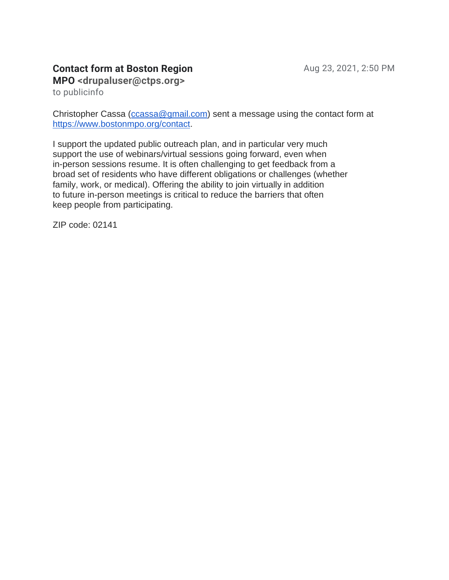## **Contact form at Boston Region**

**MPO <drupaluser@ctps.org>**

to publicinfo

Christopher Cassa [\(ccassa@gmail.com\)](mailto:ccassa@gmail.com) sent a message using the contact form at [https://www.bostonmpo.org/contact.](https://www.bostonmpo.org/contact)

I support the updated public outreach plan, and in particular very much support the use of webinars/virtual sessions going forward, even when in-person sessions resume. It is often challenging to get feedback from a broad set of residents who have different obligations or challenges (whether family, work, or medical). Offering the ability to join virtually in addition to future in-person meetings is critical to reduce the barriers that often keep people from participating.

ZIP code: 02141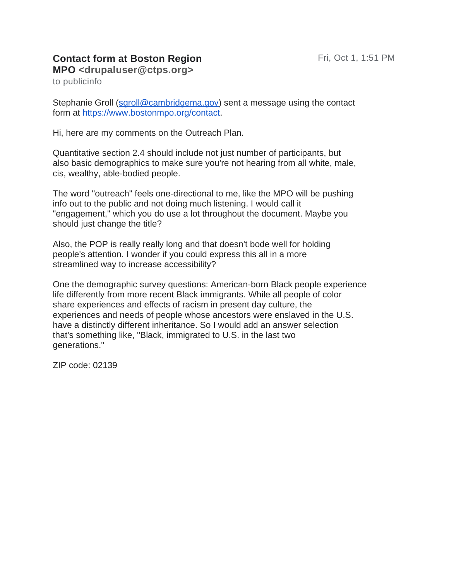## **Contact form at Boston Region**

**MPO <drupaluser@ctps.org>** to publicinfo

Stephanie Groll [\(sgroll@cambridgema.gov\)](mailto:sgroll@cambridgema.gov) sent a message using the contact form at [https://www.bostonmpo.org/contact.](https://www.bostonmpo.org/contact)

Hi, here are my comments on the Outreach Plan.

Quantitative section 2.4 should include not just number of participants, but also basic demographics to make sure you're not hearing from all white, male, cis, wealthy, able-bodied people.

The word "outreach" feels one-directional to me, like the MPO will be pushing info out to the public and not doing much listening. I would call it "engagement," which you do use a lot throughout the document. Maybe you should just change the title?

Also, the POP is really really long and that doesn't bode well for holding people's attention. I wonder if you could express this all in a more streamlined way to increase accessibility?

One the demographic survey questions: American-born Black people experience life differently from more recent Black immigrants. While all people of color share experiences and effects of racism in present day culture, the experiences and needs of people whose ancestors were enslaved in the U.S. have a distinctly different inheritance. So I would add an answer selection that's something like, "Black, immigrated to U.S. in the last two generations."

ZIP code: 02139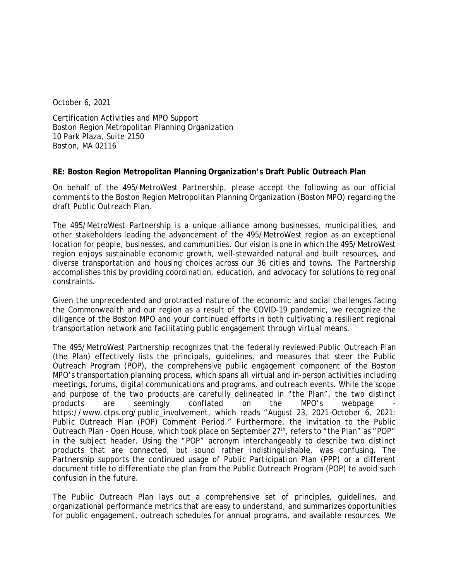October 6, 2021

Certification Activities and MPO Support Boston Region Metropolitan Planning Organization 10 Park Plaza, Suite 2150 Boston, MA 02116

## **RE: Boston Region Metropolitan Planning Organization's Draft Public Outreach Plan**

On behalf of the 495/MetroWest Partnership, please accept the following as our official comments to the Boston Region Metropolitan Planning Organization (Boston MPO) regarding the draft *Public Outreach Plan*.

The 495/MetroWest Partnership is a unique alliance among businesses, municipalities, and other stakeholders leading the advancement of the 495/MetroWest region as an exceptional location for people, businesses, and communities. Our vision is one in which the 495/MetroWest region enjoys sustainable economic growth, well-stewarded natural and built resources, and diverse transportation and housing choices across our 36 cities and towns. The Partnership accomplishes this by providing coordination, education, and advocacy for solutions to regional constraints.

Given the unprecedented and protracted nature of the economic and social challenges facing the Commonwealth and our region as a result of the COVID-19 pandemic, we recognize the diligence of the Boston MPO and your continued efforts in both cultivating a resilient regional transportation network and facilitating public engagement through virtual means.

The 495/MetroWest Partnership recognizes that the federally reviewed Public Outreach Plan (the Plan) effectively lists the principals, guidelines, and measures that steer the Public Outreach Program (POP), the comprehensive public engagement component of the Boston MPO's transportation planning process, which spans all virtual and in-person activities including meetings, forums, digital communications and programs, and outreach events. While the scope and purpose of the two products are carefully delineated in "the Plan", the two distinct products are seemingly conflated on the MPO's webpage https://www.ctps.org/public\_involvement, which reads *"August 23, 2021-October 6, 2021: Public Outreach Plan (POP) Comment Period."* Furthermore, the invitation to the Public Outreach Plan - Open House, which took place on September 27<sup>th</sup>, refers to "the Plan" as "POP" in the subject header. Using the "POP" acronym interchangeably to describe two distinct products that are connected, but sound rather indistinguishable, was confusing. The Partnership supports the continued usage of *Public Participation Plan* (PPP) or a different document title to differentiate the plan from the *Public Outreach Program* (POP) to avoid such confusion in the future.

The Public Outreach Plan lays out a comprehensive set of principles, guidelines, and organizational performance metrics that are easy to understand, and summarizes opportunities for public engagement, outreach schedules for annual programs, and available resources. We